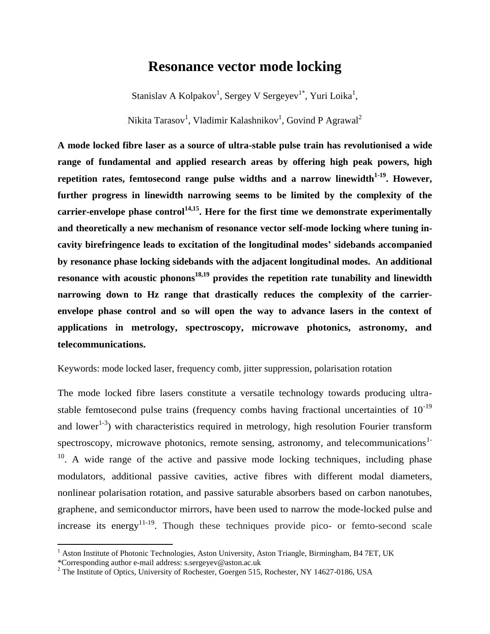# **Resonance vector mode locking**

Stanislav A Kolpakov<sup>1</sup>, Sergey V Sergeyev<sup>1\*</sup>, Yuri Loika<sup>1</sup>,

Nikita Tarasov<sup>1</sup>, Vladimir Kalashnikov<sup>1</sup>, Govind P Agrawal<sup>2</sup>

**A mode locked fibre laser as a source of ultra-stable pulse train has revolutionised a wide range of fundamental and applied research areas by offering high peak powers, high repetition rates, femtosecond range pulse widths and a narrow linewidth1-19. However, further progress in linewidth narrowing seems to be limited by the complexity of the carrier-envelope phase control14,15 . Here for the first time we demonstrate experimentally and theoretically a new mechanism of resonance vector self-mode locking where tuning incavity birefringence leads to excitation of the longitudinal modes' sidebands accompanied by resonance phase locking sidebands with the adjacent longitudinal modes. An additional resonance with acoustic phonons18,19 provides the repetition rate tunability and linewidth narrowing down to Hz range that drastically reduces the complexity of the carrierenvelope phase control and so will open the way to advance lasers in the context of applications in metrology, spectroscopy, microwave photonics, astronomy, and telecommunications.**

Keywords: mode locked laser, frequency comb, jitter suppression, polarisation rotation

The mode locked fibre lasers constitute a versatile technology towards producing ultrastable femtosecond pulse trains (frequency combs having fractional uncertainties of  $10^{-19}$ ) and lower<sup>1-3</sup>) with characteristics required in metrology, high resolution Fourier transform spectroscopy, microwave photonics, remote sensing, astronomy, and telecommunications<sup>1-</sup>  $10$ . A wide range of the active and passive mode locking techniques, including phase modulators, additional passive cavities, active fibres with different modal diameters, nonlinear polarisation rotation, and passive saturable absorbers based on carbon nanotubes, graphene, and semiconductor mirrors, have been used to narrow the mode-locked pulse and increase its energy<sup>11-19</sup>. Though these techniques provide pico- or femto-second scale

 $\overline{\phantom{a}}$ 

 $1$  Aston Institute of Photonic Technologies, Aston University, Aston Triangle, Birmingham, B4 7ET, UK

<sup>\*</sup>Corresponding author e-mail address: s.sergeyev@aston.ac.uk

<sup>&</sup>lt;sup>2</sup> The Institute of Optics, University of Rochester, Goergen 515, Rochester, NY 14627-0186, USA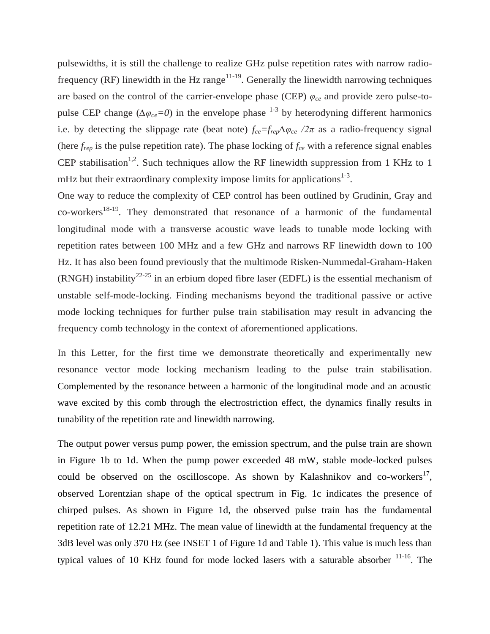pulsewidths, it is still the challenge to realize GHz pulse repetition rates with narrow radiofrequency (RF) linewidth in the Hz range<sup>11-19</sup>. Generally the linewidth narrowing techniques are based on the control of the carrier-envelope phase (CEP) *φce* and provide zero pulse-topulse CEP change ( $\Delta \varphi_{ce} = 0$ ) in the envelope phase <sup>1-3</sup> by heterodyning different harmonics i.e. by detecting the slippage rate (beat note)  $f_{ce} = f_{rep} \Delta \varphi_{ce}$  /2 $\pi$  as a radio-frequency signal (here  $f_{rep}$  is the pulse repetition rate). The phase locking of  $f_{ce}$  with a reference signal enables CEP stabilisation<sup>1,2</sup>. Such techniques allow the RF linewidth suppression from 1 KHz to 1 mHz but their extraordinary complexity impose limits for applications $1-3$ .

One way to reduce the complexity of CEP control has been outlined by Grudinin, Gray and  $co-works<sup>18-19</sup>$ . They demonstrated that resonance of a harmonic of the fundamental longitudinal mode with a transverse acoustic wave leads to tunable mode locking with repetition rates between 100 MHz and a few GHz and narrows RF linewidth down to 100 Hz. It has also been found previously that the multimode Risken-Nummedal-Graham-Haken (RNGH) instability<sup>22-25</sup> in an erbium doped fibre laser (EDFL) is the essential mechanism of unstable self-mode-locking. Finding mechanisms beyond the traditional passive or active mode locking techniques for further pulse train stabilisation may result in advancing the frequency comb technology in the context of aforementioned applications.

In this Letter, for the first time we demonstrate theoretically and experimentally new resonance vector mode locking mechanism leading to the pulse train stabilisation. Complemented by the resonance between a harmonic of the longitudinal mode and an acoustic wave excited by this comb through the electrostriction effect, the dynamics finally results in tunability of the repetition rate and linewidth narrowing.

The output power versus pump power, the emission spectrum, and the pulse train are shown in Figure 1b to 1d. When the pump power exceeded 48 mW, stable mode-locked pulses could be observed on the oscilloscope. As shown by Kalashnikov and co-workers<sup>17</sup>, observed Lorentzian shape of the optical spectrum in Fig. 1c indicates the presence of chirped pulses. As shown in Figure 1d, the observed pulse train has the fundamental repetition rate of 12.21 MHz. The mean value of linewidth at the fundamental frequency at the 3dB level was only 370 Hz (see INSET 1 of Figure 1d and Table 1). This value is much less than typical values of 10 KHz found for mode locked lasers with a saturable absorber  $11-16$ . The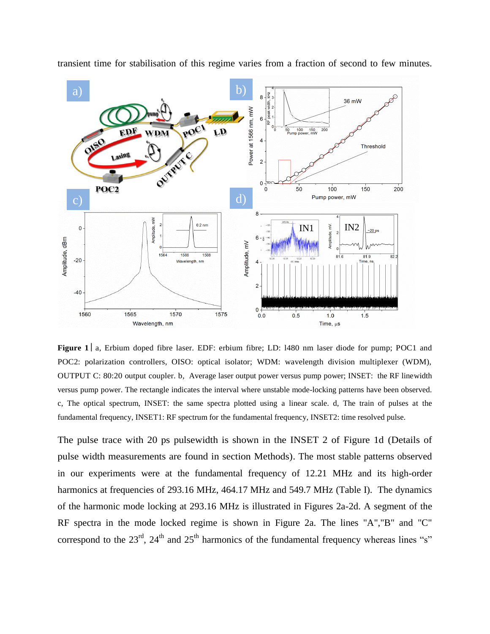

transient time for stabilisation of this regime varies from a fraction of second to few minutes.

**Figure 1** a, Erbium doped fibre laser. EDF: erbium fibre; LD: 1480 nm laser diode for pump; POC1 and POC2: polarization controllers, OISO: optical isolator; WDM: wavelength division multiplexer (WDM), OUTPUT C: 80:20 output coupler. b*,* Average laser output power versus pump power; INSET: the RF linewidth versus pump power. The rectangle indicates the interval where unstable mode-locking patterns have been observed. c, The optical spectrum, INSET: the same spectra plotted using a linear scale. d, The train of pulses at the fundamental frequency, INSET1: RF spectrum for the fundamental frequency, INSET2: time resolved pulse.

The pulse trace with 20 ps pulsewidth is shown in the INSET 2 of Figure 1d (Details of pulse width measurements are found in section Methods). The most stable patterns observed in our experiments were at the fundamental frequency of 12.21 MHz and its high-order harmonics at frequencies of 293.16 MHz, 464.17 MHz and 549.7 MHz (Table I). The dynamics of the harmonic mode locking at 293.16 MHz is illustrated in Figures 2a-2d. A segment of the RF spectra in the mode locked regime is shown in Figure 2a. The lines "A","B" and "C" correspond to the  $23<sup>rd</sup>$ ,  $24<sup>th</sup>$  and  $25<sup>th</sup>$  harmonics of the fundamental frequency whereas lines "s"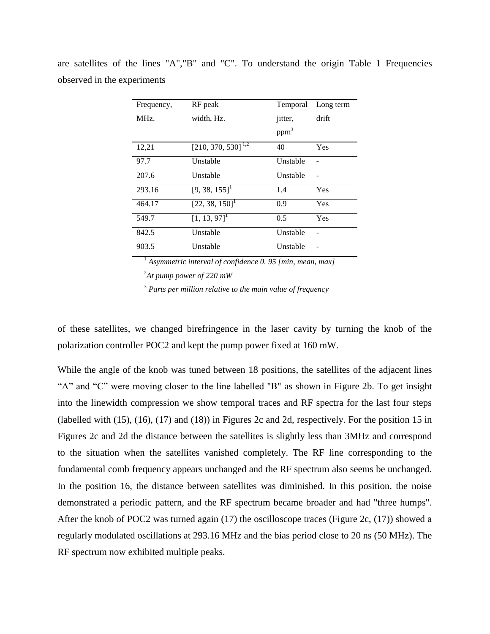| Frequency, | RF peak                     | Temporal         | Long term |
|------------|-----------------------------|------------------|-----------|
| MHz.       | width, Hz.                  | jitter,          | drift     |
|            |                             | ppm <sup>3</sup> |           |
| 12,21      | $[210, 370, 530]^{1,2}$     | 40               | Yes       |
| 97.7       | Unstable                    | Unstable         |           |
| 207.6      | Unstable                    | Unstable         |           |
| 293.16     | $[9, 38, 155]$ <sup>1</sup> | 1.4              | Yes       |
| 464.17     | [22, 38, 150]               | 0.9              | Yes       |
| 549.7      | $[1, 13, 97]$ <sup>1</sup>  | 0.5              | Yes       |
| 842.5      | Unstable                    | Unstable         |           |
| 903.5      | Unstable                    | Unstable         |           |

are satellites of the lines "A","B" and "C". To understand the origin Table 1 Frequencies observed in the experiments

<sup>1</sup> *Asymmetric interval of confidence 0. 95 [min, mean, max]*

<sup>2</sup>*At pump power of 220 mW*

<sup>3</sup> *Parts per million relative to the main value of frequency*

of these satellites, we changed birefringence in the laser cavity by turning the knob of the polarization controller POC2 and kept the pump power fixed at 160 mW.

While the angle of the knob was tuned between 18 positions, the satellites of the adjacent lines "A" and "C" were moving closer to the line labelled "B" as shown in Figure 2b. To get insight into the linewidth compression we show temporal traces and RF spectra for the last four steps (labelled with (15), (16), (17) and (18)) in Figures 2c and 2d, respectively. For the position 15 in Figures 2c and 2d the distance between the satellites is slightly less than 3MHz and correspond to the situation when the satellites vanished completely. The RF line corresponding to the fundamental comb frequency appears unchanged and the RF spectrum also seems be unchanged. In the position 16, the distance between satellites was diminished. In this position, the noise demonstrated a periodic pattern, and the RF spectrum became broader and had "three humps". After the knob of POC2 was turned again (17) the oscilloscope traces (Figure 2c, (17)) showed a regularly modulated oscillations at 293.16 MHz and the bias period close to 20 ns (50 MHz). The RF spectrum now exhibited multiple peaks.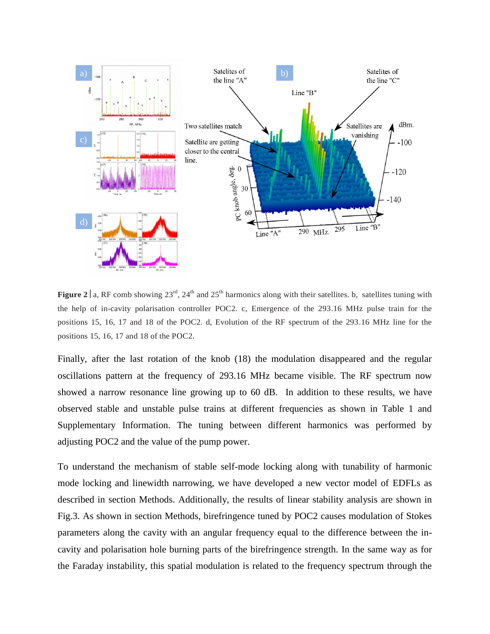

**Figure 2** a, RF comb showing  $23^{rd}$ ,  $24^{th}$  and  $25^{th}$  harmonics along with their satellites. b, satellites tuning with the help of in-cavity polarisation controller POC2. c, Emergence of the 293.16 MHz pulse train for the positions 15, 16, 17 and 18 of the POC2. d, Evolution of the RF spectrum of the 293.16 MHz line for the positions 15, 16, 17 and 18 of the POC2.

Finally, after the last rotation of the knob (18) the modulation disappeared and the regular oscillations pattern at the frequency of 293.16 MHz became visible. The RF spectrum now showed a narrow resonance line growing up to 60 dB. In addition to these results, we have observed stable and unstable pulse trains at different frequencies as shown in Table 1 and Supplementary Information. The tuning between different harmonics was performed by adjusting POC2 and the value of the pump power.

To understand the mechanism of stable self-mode locking along with tunability of harmonic mode locking and linewidth narrowing, we have developed a new vector model of EDFLs as described in section Methods. Additionally, the results of linear stability analysis are shown in Fig.3. As shown in section Methods, birefringence tuned by POC2 causes modulation of Stokes parameters along the cavity with an angular frequency equal to the difference between the incavity and polarisation hole burning parts of the birefringence strength. In the same way as for the Faraday instability, this spatial modulation is related to the frequency spectrum through the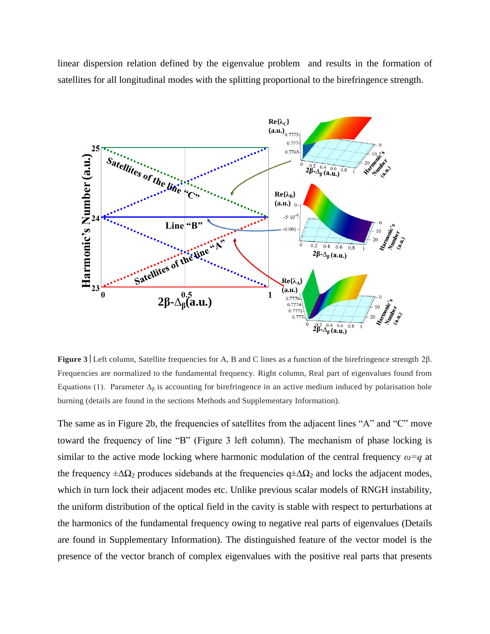linear dispersion relation defined by the eigenvalue problem and results in the formation of satellites for all longitudinal modes with the splitting proportional to the birefringence strength.



**Figure 3** Left column, Satellite frequencies for A, B and C lines as a function of the birefringence strength 2β. Frequencies are normalized to the fundamental frequency. Right column, Real part of eigenvalues found from Equations (1). Parameter  $\Delta_{\beta}$  is accounting for birefringence in an active medium induced by polarisation hole burning (details are found in the sections Methods and Supplementary Information).

The same as in Figure 2b, the frequencies of satellites from the adjacent lines "A" and "C" move toward the frequency of line "B" (Figure 3 left column). The mechanism of phase locking is similar to the active mode locking where harmonic modulation of the central frequency *ω=q* at the frequency  $\pm \Delta\Omega_2$  produces sidebands at the frequencies  $q \pm \Delta\Omega_2$  and locks the adjacent modes, which in turn lock their adjacent modes etc. Unlike previous scalar models of RNGH instability, the uniform distribution of the optical field in the cavity is stable with respect to perturbations at the harmonics of the fundamental frequency owing to negative real parts of eigenvalues (Details are found in Supplementary Information). The distinguished feature of the vector model is the presence of the vector branch of complex eigenvalues with the positive real parts that presents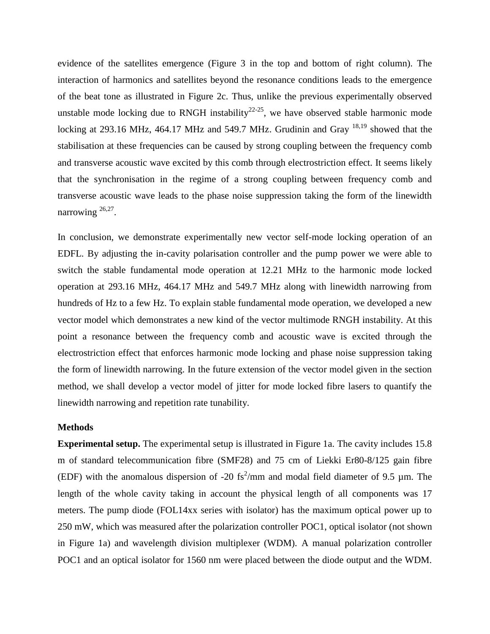evidence of the satellites emergence (Figure 3 in the top and bottom of right column). The interaction of harmonics and satellites beyond the resonance conditions leads to the emergence of the beat tone as illustrated in Figure 2c. Thus, unlike the previous experimentally observed unstable mode locking due to RNGH instability<sup>22-25</sup>, we have observed stable harmonic mode locking at 293.16 MHz, 464.17 MHz and 549.7 MHz. Grudinin and Gray <sup>18,19</sup> showed that the stabilisation at these frequencies can be caused by strong coupling between the frequency comb and transverse acoustic wave excited by this comb through electrostriction effect. It seems likely that the synchronisation in the regime of a strong coupling between frequency comb and transverse acoustic wave leads to the phase noise suppression taking the form of the linewidth narrowing <sup>26,27</sup>.

In conclusion, we demonstrate experimentally new vector self-mode locking operation of an EDFL. By adjusting the in-cavity polarisation controller and the pump power we were able to switch the stable fundamental mode operation at 12.21 MHz to the harmonic mode locked operation at 293.16 MHz, 464.17 MHz and 549.7 MHz along with linewidth narrowing from hundreds of Hz to a few Hz. To explain stable fundamental mode operation, we developed a new vector model which demonstrates a new kind of the vector multimode RNGH instability. At this point a resonance between the frequency comb and acoustic wave is excited through the electrostriction effect that enforces harmonic mode locking and phase noise suppression taking the form of linewidth narrowing. In the future extension of the vector model given in the section method, we shall develop a vector model of jitter for mode locked fibre lasers to quantify the linewidth narrowing and repetition rate tunability.

### **Methods**

**Experimental setup.** The experimental setup is illustrated in Figure 1a. The cavity includes 15.8 m of standard telecommunication fibre (SMF28) and 75 cm of Liekki Er80-8/125 gain fibre (EDF) with the anomalous dispersion of -20 fs<sup>2</sup>/mm and modal field diameter of 9.5  $\mu$ m. The length of the whole cavity taking in account the physical length of all components was 17 meters. The pump diode (FOL14xx series with isolator) has the maximum optical power up to 250 mW, which was measured after the polarization controller POC1, optical isolator (not shown in Figure 1a) and wavelength division multiplexer (WDM). A manual polarization controller POC1 and an optical isolator for 1560 nm were placed between the diode output and the WDM.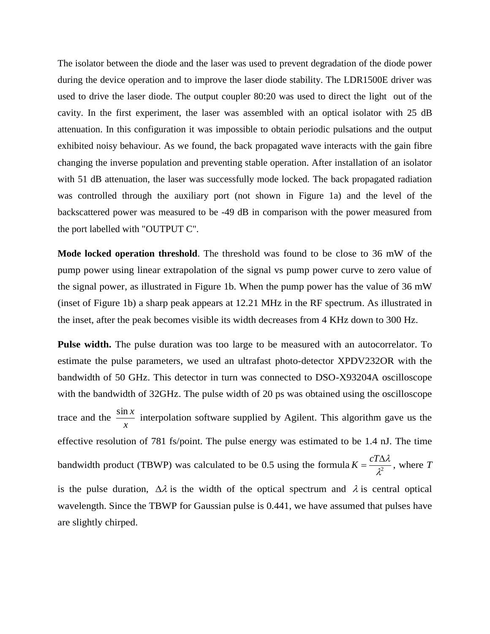The isolator between the diode and the laser was used to prevent degradation of the diode power during the device operation and to improve the laser diode stability. The LDR1500E driver was used to drive the laser diode. The output coupler 80:20 was used to direct the light out of the cavity. In the first experiment, the laser was assembled with an optical isolator with 25 dB attenuation. In this configuration it was impossible to obtain periodic pulsations and the output exhibited noisy behaviour. As we found, the back propagated wave interacts with the gain fibre changing the inverse population and preventing stable operation. After installation of an isolator with 51 dB attenuation, the laser was successfully mode locked. The back propagated radiation was controlled through the auxiliary port (not shown in Figure 1a) and the level of the backscattered power was measured to be -49 dB in comparison with the power measured from the port labelled with "OUTPUT C".

**Mode locked operation threshold**. The threshold was found to be close to 36 mW of the pump power using linear extrapolation of the signal vs pump power curve to zero value of the signal power, as illustrated in Figure 1b. When the pump power has the value of 36 mW (inset of Figure 1b) a sharp peak appears at 12.21 MHz in the RF spectrum. As illustrated in the inset, after the peak becomes visible its width decreases from 4 KHz down to 300 Hz.

**Pulse width.** The pulse duration was too large to be measured with an autocorrelator. To estimate the pulse parameters, we used an ultrafast photo-detector XPDV232OR with the bandwidth of 50 GHz. This detector in turn was connected to DSO-X93204A oscilloscope with the bandwidth of 32GHz. The pulse width of 20 ps was obtained using the oscilloscope trace and the *x*  $\frac{\sin x}{x}$  interpolation software supplied by Agilent. This algorithm gave us the effective resolution of 781 fs/point. The pulse energy was estimated to be 1.4 nJ. The time bandwidth product (TBWP) was calculated to be 0.5 using the formula  $K = \frac{C1/3}{\lambda^2}$  $K = \frac{cT\Delta\lambda}{r^2}$ , where *T* is the pulse duration,  $\Delta \lambda$  is the width of the optical spectrum and  $\lambda$  is central optical wavelength. Since the TBWP for Gaussian pulse is 0.441, we have assumed that pulses have are slightly chirped.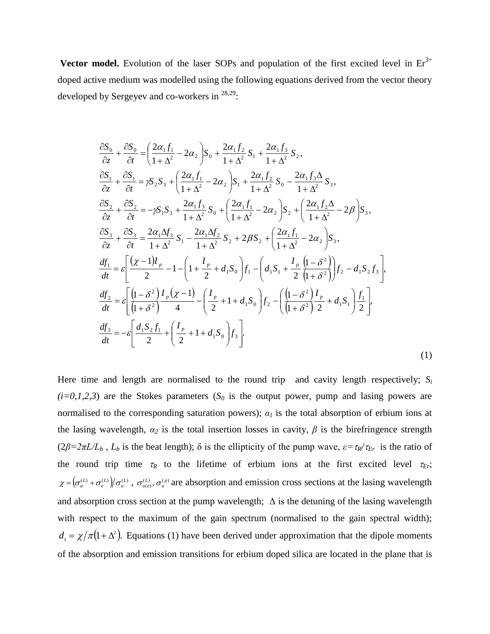**Vector model.** Evolution of the laser SOPs and population of the first excited level in  $Er<sup>3+</sup>$ doped active medium was modelled using the following equations derived from the vector theory developed by Sergeyev and co-workers in  $^{28,29}$ :

$$
\frac{\partial S_{0}}{\partial z} + \frac{\partial S_{0}}{\partial t} = \left( \frac{2\alpha_{1}f_{1}}{1+\Delta^{2}} - 2\alpha_{2} \right) S_{0} + \frac{2\alpha_{1}f_{2}}{1+\Delta^{2}} S_{1} + \frac{2\alpha_{1}f_{3}}{1+\Delta^{2}} S_{2},
$$
\n
$$
\frac{\partial S_{1}}{\partial z} + \frac{\partial S_{1}}{\partial t} = \gamma S_{2} S_{3} + \left( \frac{2\alpha_{1}f_{1}}{1+\Delta^{2}} - 2\alpha_{2} \right) S_{1} + \frac{2\alpha_{1}f_{2}}{1+\Delta^{2}} S_{0} - \frac{2\alpha_{1}f_{3}\Delta}{1+\Delta^{2}} S_{3},
$$
\n
$$
\frac{\partial S_{2}}{\partial z} + \frac{\partial S_{2}}{\partial t} = -\gamma S_{1} S_{3} + \frac{2\alpha_{1}f_{3}}{1+\Delta^{2}} S_{0} + \left( \frac{2\alpha_{1}f_{1}}{1+\Delta^{2}} - 2\alpha_{2} \right) S_{2} + \left( \frac{2\alpha_{1}f_{2}\Delta}{1+\Delta^{2}} - 2\beta \right) S_{3},
$$
\n
$$
\frac{\partial S_{3}}{\partial z} + \frac{\partial S_{3}}{\partial t} = \frac{2\alpha_{1}\Delta f_{3}}{1+\Delta^{2}} S_{1} - \frac{2\alpha_{1}\Delta f_{2}}{1+\Delta^{2}} S_{2} + 2\beta S_{2} + \left( \frac{2\alpha_{1}f_{1}}{1+\Delta^{2}} - 2\alpha_{2} \right) S_{3},
$$
\n
$$
\frac{df_{1}}{dt} = \varepsilon \left[ \frac{\left( \chi - 1 \right)I_{p}}{2} - 1 - \left( 1 + \frac{I_{p}}{2} + d_{1}S_{0} \right) f_{1} - \left( d_{1}S_{1} + \frac{I_{p}}{2} \frac{\left( 1 - \delta^{2} \right)}{\left( 1 + \delta^{2} \right)} \right) f_{2} - d_{1}S_{2}f_{3} \right],
$$
\n
$$
\frac{df_{2}}{dt} = \varepsilon \left[ \frac{\left( 1 - \delta^{2} \right)I_{p}(\chi - 1)}{\left( 1 + \delta^{2} \right)} - \left(
$$

Here time and length are normalised to the round trip and cavity length respectively;  $S_i$  $(i=0,1,2,3)$  are the Stokes parameters  $(S_0$  is the output power, pump and lasing powers are normalised to the corresponding saturation powers);  $a<sub>l</sub>$  is the total absorption of erbium ions at the lasing wavelength,  $\alpha_2$  is the total insertion losses in cavity,  $\beta$  is the birefringence strength  $(2\beta = 2\pi L/L_b$ ,  $L_b$  is the beat length);  $\delta$  is the ellipticity of the pump wave,  $\varepsilon = \tau_R/\tau_{Er}$  is the ratio of the round trip time  $\tau_R$  to the lifetime of erbium ions at the first excited level  $\tau_{Er}$ ;  $\chi = (\sigma_a^{(L)} + \sigma_e^{(L)})/\sigma_a^{(L)}$ ,  $\sigma_{a(e)}^{(L)}$ ,  $\sigma_a^{(P)}$  are absorption and emission cross sections at the lasing wavelength and absorption cross section at the pump wavelength;  $\Delta$  is the detuning of the lasing wavelength with respect to the maximum of the gain spectrum (normalised to the gain spectral width);  $d_1 = \chi/\pi (1 + \Delta^2)$ . Equations (1) have been derived under approximation that the dipole moments of the absorption and emission transitions for erbium doped silica are located in the plane that is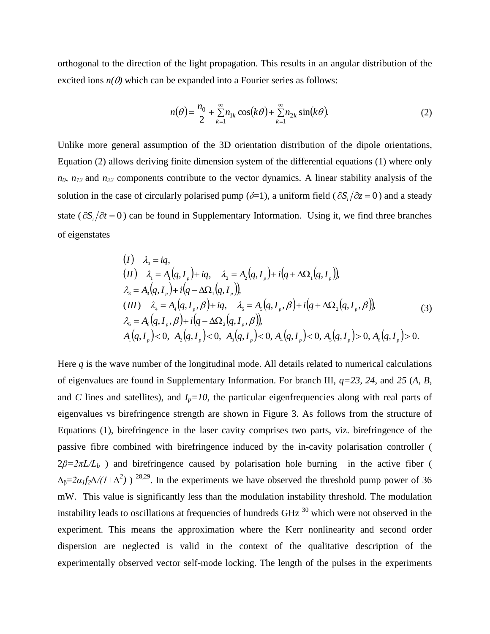orthogonal to the direction of the light propagation. This results in an angular distribution of the excited ions  $n(\theta)$  which can be expanded into a Fourier series as follows:

$$
n(\theta) = \frac{n_0}{2} + \sum_{k=1}^{\infty} n_{1k} \cos(k\theta) + \sum_{k=1}^{\infty} n_{2k} \sin(k\theta).
$$
 (2)

Unlike more general assumption of the 3D orientation distribution of the dipole orientations, Equation (2) allows deriving finite dimension system of the differential equations (1) where only *n0, n12* and *n<sup>22</sup>* components contribute to the vector dynamics. A linear stability analysis of the solution in the case of circularly polarised pump ( $\delta=1$ ), a uniform field ( $\partial S_i/\partial z = 0$ ) and a steady state ( $\partial S_i/\partial t = 0$ ) can be found in Supplementary Information. Using it, we find three branches of eigenstates

$$
(I) \quad \lambda_0 = iq,
$$
  
\n
$$
(II) \quad \lambda_1 = A_1(q, I_p) + iq, \quad \lambda_2 = A_2(q, I_p) + i(q + \Delta\Omega_1(q, I_p)),
$$
  
\n
$$
\lambda_3 = A_3(q, I_p) + i(q - \Delta\Omega_1(q, I_p)),
$$
  
\n
$$
(III) \quad \lambda_4 = A_4(q, I_p, \beta) + iq, \quad \lambda_5 = A_5(q, I_p, \beta) + i(q + \Delta\Omega_2(q, I_p, \beta)),
$$
  
\n
$$
\lambda_6 = A_6(q, I_p, \beta) + i(q - \Delta\Omega_2(q, I_p, \beta)),
$$
  
\n
$$
A_1(q, I_p) < 0, \quad A_2(q, I_p) < 0, \quad A_3(q, I_p) < 0, \quad A_4(q, I_p) < 0, \quad A_5(q, I_p) > 0, \quad A_6(q, I_p) > 0.
$$
\n
$$
(3)
$$

Here *q* is the wave number of the longitudinal mode. All details related to numerical calculations of eigenvalues are found in Supplementary Information. For branch III, *q=23, 24,* and *25* (*A*, *B*, and *C* lines and satellites), and  $I_p = 10$ , the particular eigenfrequencies along with real parts of eigenvalues vs birefringence strength are shown in Figure 3. As follows from the structure of Equations (1), birefringence in the laser cavity comprises two parts, viz. birefringence of the passive fibre combined with birefringence induced by the in-cavity polarisation controller (  $2\beta = 2\pi L/L_b$ ) and birefringence caused by polarisation hole burning in the active fiber (  $\Delta_{\beta} = 2\alpha_I f_2 \Delta/(1+\Delta^2)$ ) <sup>28,29</sup>. In the experiments we have observed the threshold pump power of 36 mW. This value is significantly less than the modulation instability threshold. The modulation instability leads to oscillations at frequencies of hundreds  $GHz<sup>30</sup>$  which were not observed in the experiment. This means the approximation where the Kerr nonlinearity and second order dispersion are neglected is valid in the context of the qualitative description of the experimentally observed vector self-mode locking. The length of the pulses in the experiments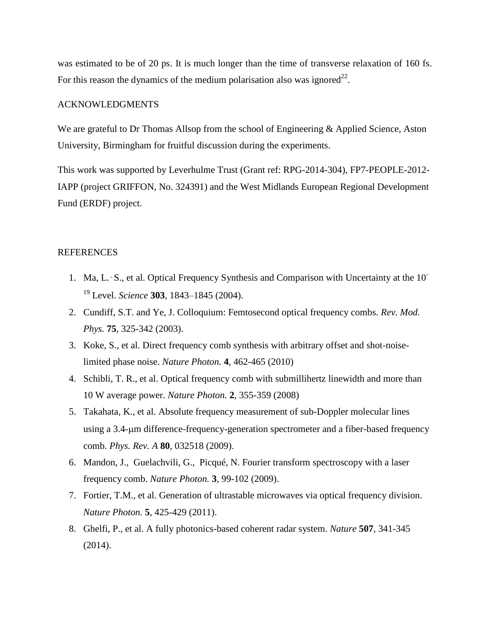was estimated to be of 20 ps. It is much longer than the time of transverse relaxation of 160 fs. For this reason the dynamics of the medium polarisation also was ignored<sup>22</sup>.

## ACKNOWLEDGMENTS

We are grateful to Dr Thomas Allsop from the school of Engineering & Applied Science, Aston University, Birmingham for fruitful discussion during the experiments.

This work was supported by Leverhulme Trust (Grant ref: RPG-2014-304), FP7-PEOPLE-2012- IAPP (project GRIFFON, No. 324391) and the West Midlands European Regional Development Fund (ERDF) project.

## **REFERENCES**

- 1. Ma, L.‑S., et al. Optical Frequency Synthesis and Comparison with Uncertainty at the 10- <sup>19</sup> Level. *Science* **303**, 1843–1845 (2004).
- 2. Cundiff, S.T. and Ye, J. Colloquium: Femtosecond optical frequency combs. *Rev. Mod. Phys.* **75**, 325-342 (2003).
- 3. Koke, S., et al. Direct frequency comb synthesis with arbitrary offset and shot-noiselimited phase noise. *Nature Photon.* **4**, 462-465 (2010)
- 4. Schibli, T. R., et al. Optical frequency comb with submillihertz linewidth and more than 10 W average power. *Nature Photon.* **2**, 355-359 (2008)
- 5. Takahata, K., et al. Absolute frequency measurement of sub-Doppler molecular lines using a 3.4-m difference-frequency-generation spectrometer and a fiber-based frequency comb. *Phys. Rev. A* **80**, 032518 (2009).
- 6. Mandon, J., Guelachvili, G., Picqué, N. Fourier transform spectroscopy with a laser frequency comb. *Nature Photon.* **3**, 99-102 (2009).
- 7. Fortier, T.M., et al. Generation of ultrastable microwaves via optical frequency division. *Nature Photon.* **5**, 425-429 (2011).
- 8. Ghelfi, P., et al. A fully photonics-based coherent radar system. *Nature* **507**, 341-345 (2014).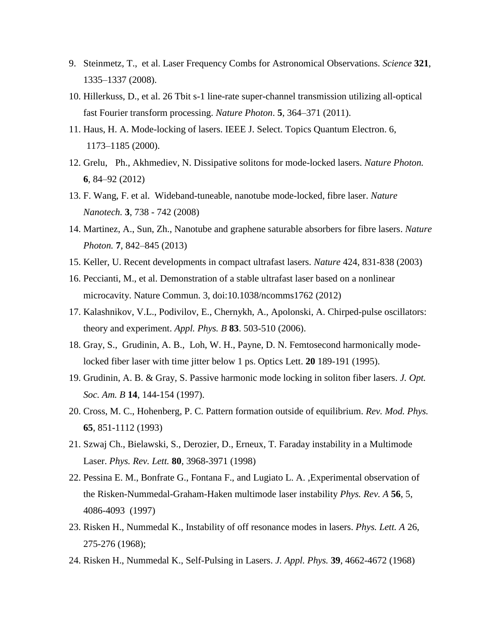- 9. Steinmetz, T., et al. Laser Frequency Combs for Astronomical Observations. *Science* **321**, 1335–1337 (2008).
- 10. Hillerkuss, D., et al. 26 Tbit s-1 line-rate super-channel transmission utilizing all-optical fast Fourier transform processing. *Nature Photon*. **5**, 364–371 (2011).
- 11. Haus, H. A. Mode-locking of lasers. IEEE J. Select. Topics Quantum Electron. 6, 1173–1185 (2000).
- 12. Grelu, Ph., Akhmediev, N. Dissipative solitons for mode-locked lasers. *Nature Photon.* **6**, 84–92 (2012)
- 13. F. Wang, F. et al. Wideband-tuneable, nanotube mode-locked, fibre laser. *Nature Nanotech.* **3**, 738 - 742 (2008)
- 14. Martinez, A., Sun, Zh., Nanotube and graphene saturable absorbers for fibre lasers. *Nature Photon.* **7**, 842–845 (2013)
- 15. Keller, U. Recent developments in compact ultrafast lasers. *Nature* 424, 831-838 (2003)
- 16. Peccianti, M., et al. Demonstration of a stable ultrafast laser based on a nonlinear microcavity. Nature Commun. 3, doi:10.1038/ncomms1762 (2012)
- 17. Kalashnikov, V.L., Podivilov, E., Chernykh, A., Apolonski, A. [Chirped-pulse oscillators:](http://info.tuwien.ac.at/kalashnikov/apb.pdf)  [theory and experiment.](http://info.tuwien.ac.at/kalashnikov/apb.pdf) *Appl. Phys. B* **83**. 503-510 (2006).
- 18. Gray, S., Grudinin, A. B., Loh, W. H., Payne, D. N. Femtosecond harmonically modelocked fiber laser with time jitter below 1 ps. Optics Lett. **20** 189-191 (1995).
- 19. Grudinin, A. B. & Gray, S. Passive harmonic mode locking in soliton fiber lasers. *J. Opt. Soc. Am. B* **14**, 144-154 (1997).
- 20. Cross, M. C., Hohenberg, P. C. Pattern formation outside of equilibrium. *Rev. Mod. Phys.* **65**, 851-1112 (1993)
- 21. Szwaj Ch., Bielawski, S., Derozier, D., Erneux, T. Faraday instability in a Multimode Laser. *Phys. Rev. Lett.* **80**, 3968-3971 (1998)
- 22. Pessina E. M., Bonfrate G., Fontana F., and Lugiato L. A. ,Experimental observation of the Risken-Nummedal-Graham-Haken multimode laser instability *Phys. Rev. A* **56**, 5, 4086-4093 (1997)
- 23. Risken H., Nummedal K., Instability of off resonance modes in lasers. *Phys. Lett. A* 26, 275-276 (1968);
- 24. Risken H., Nummedal K., Self-Pulsing in Lasers. *J. Appl. Phys.* **39**, 4662-4672 (1968)